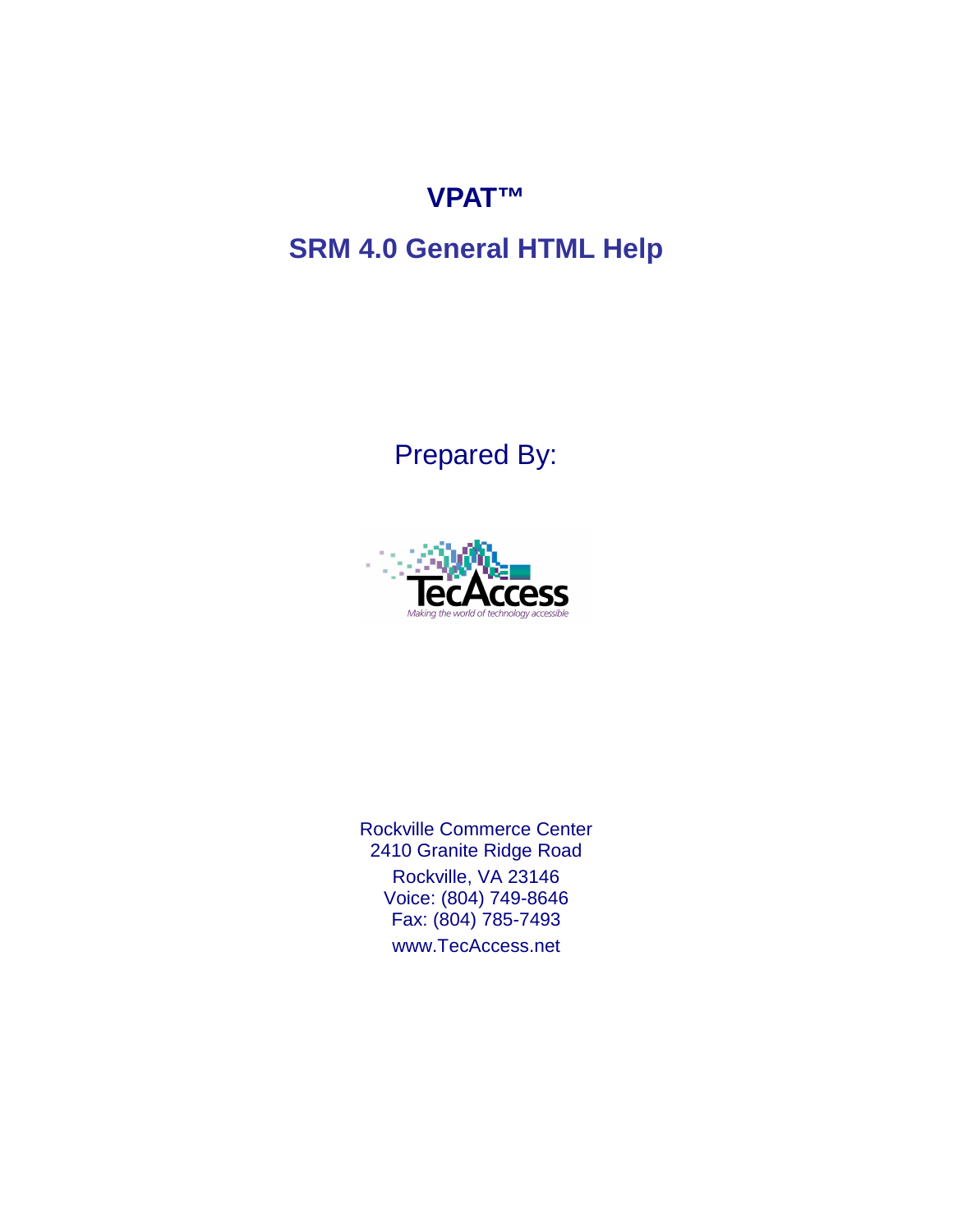## **VPAT™**

# **SRM 4.0 General HTML Help**

Prepared By:



Rockville Commerce Center 2410 Granite Ridge Road Rockville, VA 23146 Voice: (804) 749-8646 Fax: (804) 785-7493 www.TecAccess.net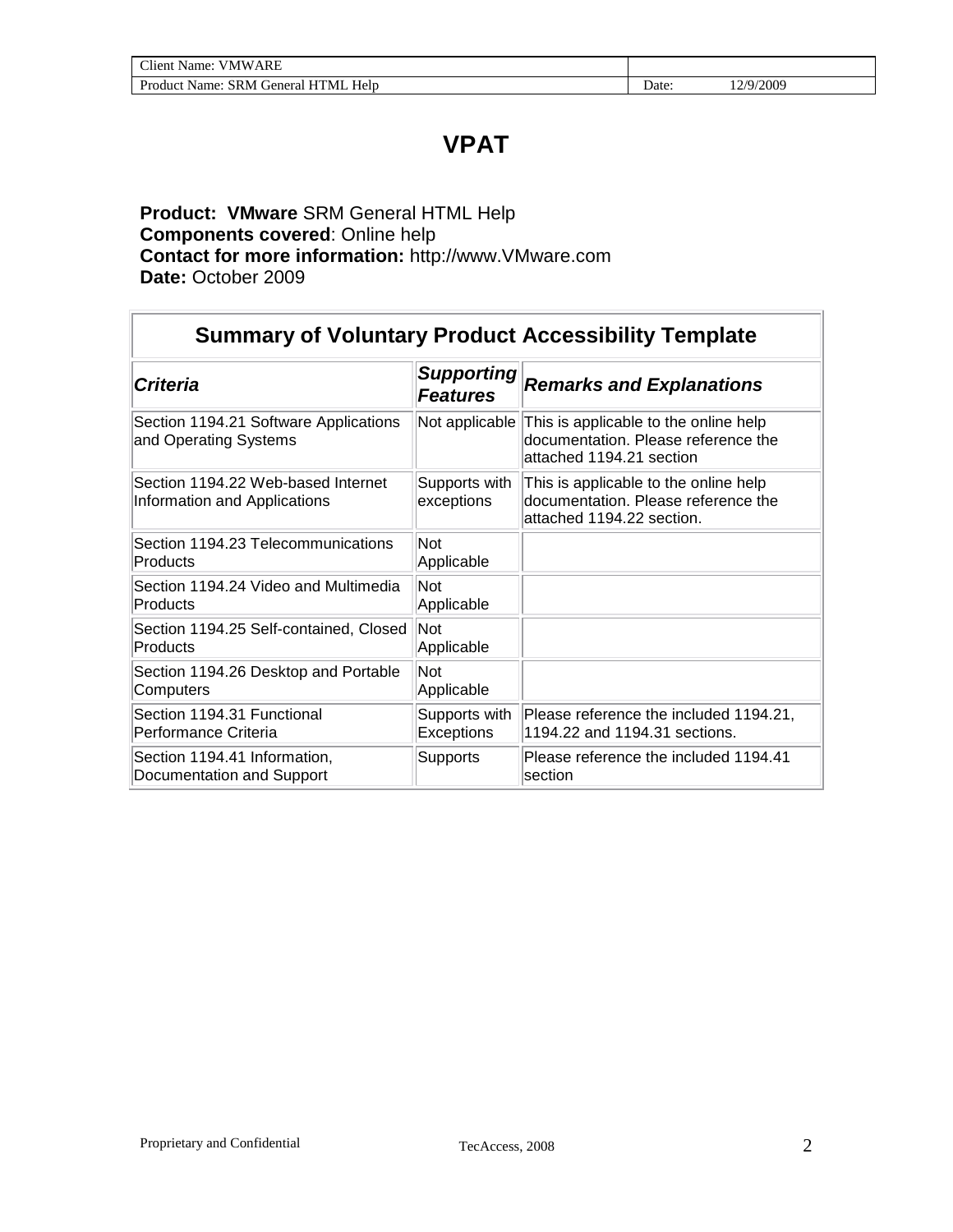## **VPAT**

### **Product: VMware** SRM General HTML Help **Components covered**: Online help **Contact for more information:** http://www.VMware.com **Date:** October 2009

| <b>Summary of Voluntary Product Accessibility Template</b>         |                                      |                                                                                                           |  |
|--------------------------------------------------------------------|--------------------------------------|-----------------------------------------------------------------------------------------------------------|--|
| <b>Criteria</b>                                                    | <b>Supporting</b><br><b>Features</b> | <b>Remarks and Explanations</b>                                                                           |  |
| Section 1194.21 Software Applications<br>and Operating Systems     | Not applicable                       | This is applicable to the online help<br>documentation. Please reference the<br>attached 1194.21 section  |  |
| Section 1194.22 Web-based Internet<br>Information and Applications | Supports with<br>exceptions          | This is applicable to the online help<br>documentation. Please reference the<br>attached 1194.22 section. |  |
| Section 1194.23 Telecommunications<br>Products                     | <b>Not</b><br>Applicable             |                                                                                                           |  |
| Section 1194.24 Video and Multimedia<br>Products                   | Not<br>Applicable                    |                                                                                                           |  |
| Section 1194.25 Self-contained, Closed<br>Products                 | Not<br>Applicable                    |                                                                                                           |  |
| Section 1194.26 Desktop and Portable<br>Computers                  | Not<br>Applicable                    |                                                                                                           |  |
| Section 1194.31 Functional<br>Performance Criteria                 | Supports with<br>Exceptions          | Please reference the included 1194.21,<br>1194.22 and 1194.31 sections.                                   |  |
| Section 1194.41 Information,<br>Documentation and Support          | Supports                             | Please reference the included 1194.41<br>section                                                          |  |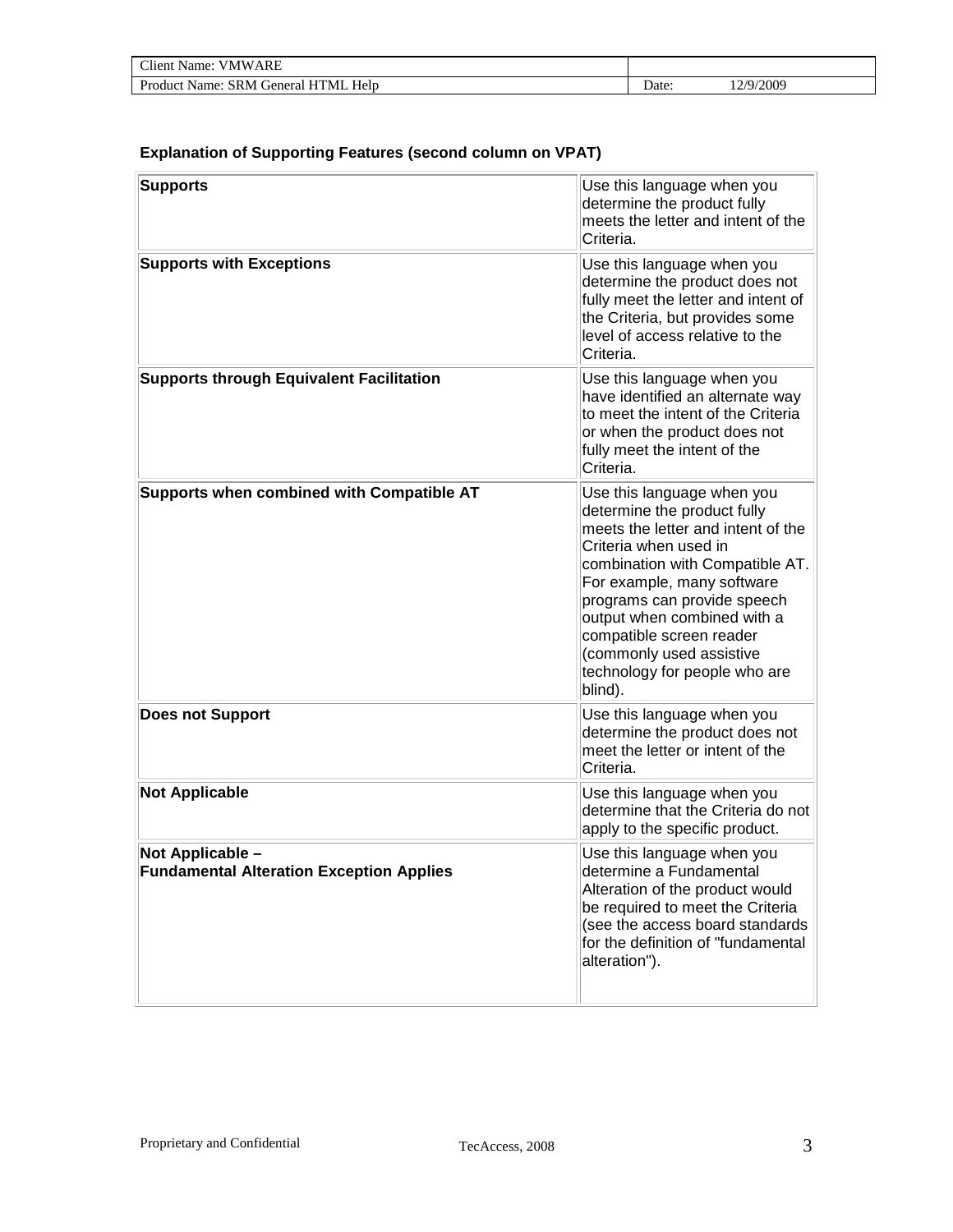| Client Name:<br><b>VMWARE</b>          |       |                   |
|----------------------------------------|-------|-------------------|
| Help<br>Product Name: SRM General HTML | Date: | 12/9/2009<br>ہے ہ |

#### **Explanation of Supporting Features (second column on VPAT)**

| <b>Supports</b>                                                     | Use this language when you<br>determine the product fully<br>meets the letter and intent of the<br>Criteria.                                                                                                                                                                                                                                                |
|---------------------------------------------------------------------|-------------------------------------------------------------------------------------------------------------------------------------------------------------------------------------------------------------------------------------------------------------------------------------------------------------------------------------------------------------|
| <b>Supports with Exceptions</b>                                     | Use this language when you<br>determine the product does not<br>fully meet the letter and intent of<br>the Criteria, but provides some<br>level of access relative to the<br>Criteria.                                                                                                                                                                      |
| <b>Supports through Equivalent Facilitation</b>                     | Use this language when you<br>have identified an alternate way<br>to meet the intent of the Criteria<br>or when the product does not<br>fully meet the intent of the<br>Criteria.                                                                                                                                                                           |
| Supports when combined with Compatible AT                           | Use this language when you<br>determine the product fully<br>meets the letter and intent of the<br>Criteria when used in<br>combination with Compatible AT.<br>For example, many software<br>programs can provide speech<br>output when combined with a<br>compatible screen reader<br>(commonly used assistive<br>technology for people who are<br>blind). |
| <b>Does not Support</b>                                             | Use this language when you<br>determine the product does not<br>meet the letter or intent of the<br>Criteria.                                                                                                                                                                                                                                               |
| <b>Not Applicable</b>                                               | Use this language when you<br>determine that the Criteria do not<br>apply to the specific product.                                                                                                                                                                                                                                                          |
| Not Applicable -<br><b>Fundamental Alteration Exception Applies</b> | Use this language when you<br>determine a Fundamental<br>Alteration of the product would<br>be required to meet the Criteria<br>(see the access board standards<br>for the definition of "fundamental<br>alteration").                                                                                                                                      |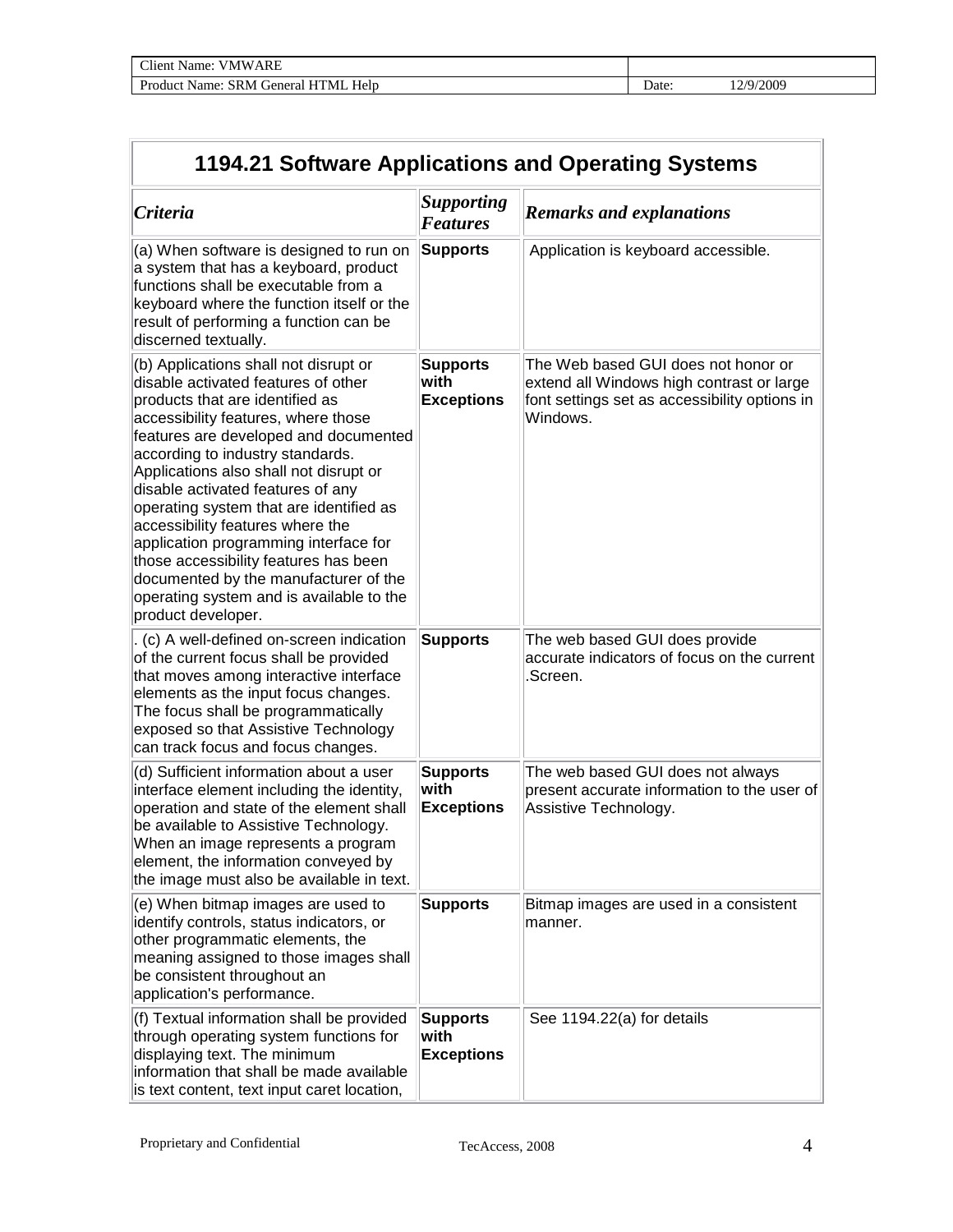| $\sim$ $\cdot$<br>ARE<br>V M W<br>`l1ent<br>√ame:        |       |              |
|----------------------------------------------------------|-------|--------------|
| Product<br>Help<br>'NI<br>General<br>Name:<br><b>SRM</b> | Date: | ⁄2009<br>. . |

| 1194.21 Software Applications and Operating Systems                                                                                                                                                                                                                                                                                                                                                                                                                                                                                                                                            |                                              |                                                                                                                                               |  |
|------------------------------------------------------------------------------------------------------------------------------------------------------------------------------------------------------------------------------------------------------------------------------------------------------------------------------------------------------------------------------------------------------------------------------------------------------------------------------------------------------------------------------------------------------------------------------------------------|----------------------------------------------|-----------------------------------------------------------------------------------------------------------------------------------------------|--|
| <b>Criteria</b>                                                                                                                                                                                                                                                                                                                                                                                                                                                                                                                                                                                | <b>Supporting</b><br><b>Features</b>         | <b>Remarks and explanations</b>                                                                                                               |  |
| (a) When software is designed to run on<br>a system that has a keyboard, product<br>functions shall be executable from a<br>keyboard where the function itself or the<br>result of performing a function can be<br>discerned textually.                                                                                                                                                                                                                                                                                                                                                        | Supports                                     | Application is keyboard accessible.                                                                                                           |  |
| (b) Applications shall not disrupt or<br>disable activated features of other<br>products that are identified as<br>accessibility features, where those<br>features are developed and documented<br>according to industry standards.<br>Applications also shall not disrupt or<br>disable activated features of any<br>operating system that are identified as<br>accessibility features where the<br>application programming interface for<br>those accessibility features has been<br>documented by the manufacturer of the<br>operating system and is available to the<br>product developer. | <b>Supports</b><br>with<br><b>Exceptions</b> | The Web based GUI does not honor or<br>extend all Windows high contrast or large<br>font settings set as accessibility options in<br>Windows. |  |
| (c) A well-defined on-screen indication<br>of the current focus shall be provided<br>that moves among interactive interface<br>elements as the input focus changes.<br>The focus shall be programmatically<br>exposed so that Assistive Technology<br>can track focus and focus changes.                                                                                                                                                                                                                                                                                                       | <b>Supports</b>                              | The web based GUI does provide<br>accurate indicators of focus on the current<br>.Screen.                                                     |  |
| (d) Sufficient information about a user<br>interface element including the identity,<br>operation and state of the element shall<br>be available to Assistive Technology.<br>When an image represents a program<br>element, the information conveyed by<br>the image must also be available in text.                                                                                                                                                                                                                                                                                           | <b>Supports</b><br>with<br><b>Exceptions</b> | The web based GUI does not always<br>present accurate information to the user of<br>Assistive Technology.                                     |  |
| (e) When bitmap images are used to<br>identify controls, status indicators, or<br>other programmatic elements, the<br>meaning assigned to those images shall<br>be consistent throughout an<br>application's performance.                                                                                                                                                                                                                                                                                                                                                                      | <b>Supports</b>                              | Bitmap images are used in a consistent<br>manner.                                                                                             |  |
| (f) Textual information shall be provided<br>through operating system functions for<br>displaying text. The minimum<br>information that shall be made available<br>is text content, text input caret location,                                                                                                                                                                                                                                                                                                                                                                                 | <b>Supports</b><br>with<br><b>Exceptions</b> | See 1194.22(a) for details                                                                                                                    |  |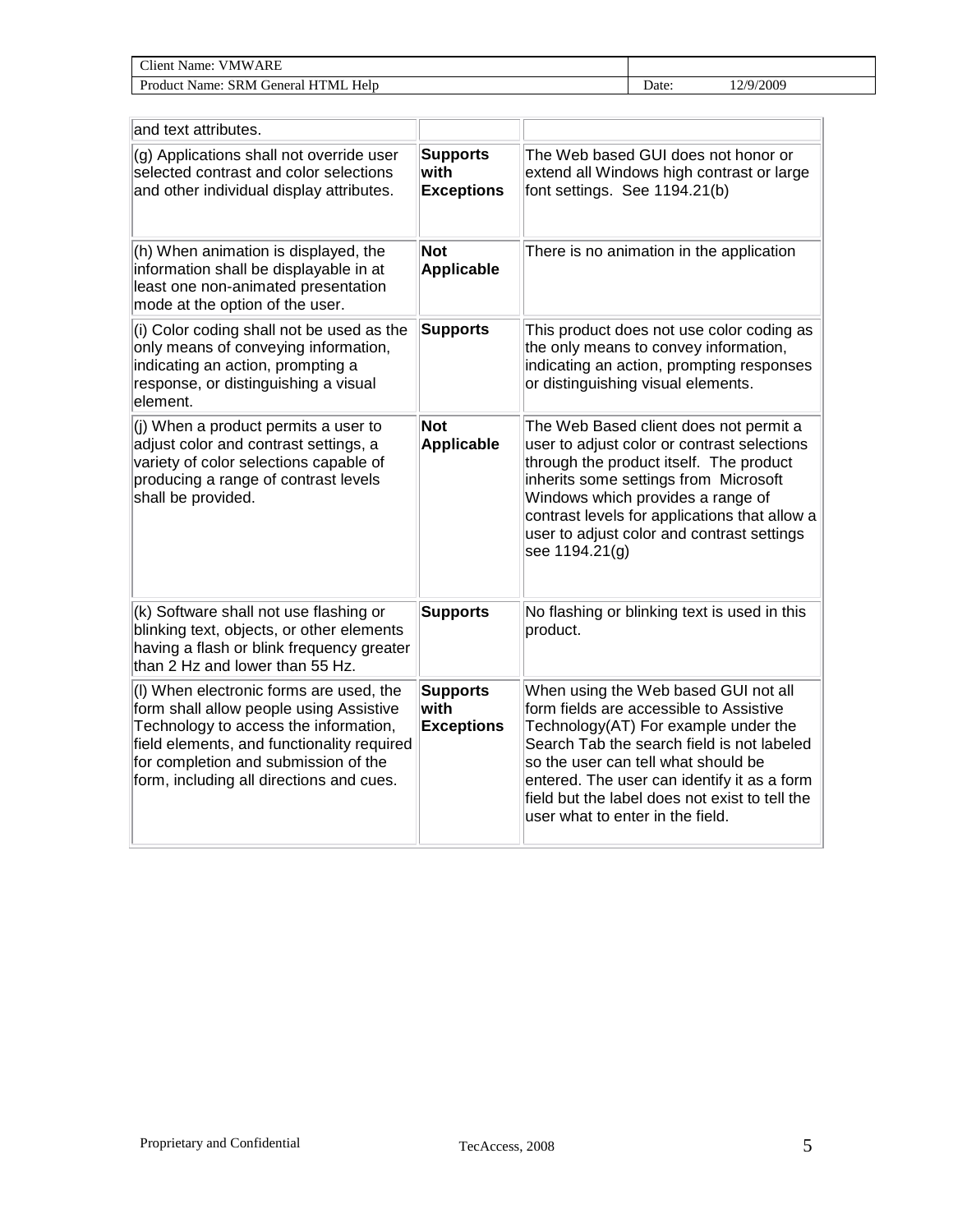| $\gamma$ lient<br><b>ARE</b><br>VMW.<br>Name:                                  |       |              |  |
|--------------------------------------------------------------------------------|-------|--------------|--|
| Help<br><sup>n</sup><br>™M∟<br>-SR M<br>Produc <sup>+</sup><br>ienera<br>Name: | ⊅ate∙ | /2009<br>2/Q |  |

| and text attributes.                                                                                                                                                                                                                                          |                                              |                                                                                                                                                                                                                                                                                                                                                   |
|---------------------------------------------------------------------------------------------------------------------------------------------------------------------------------------------------------------------------------------------------------------|----------------------------------------------|---------------------------------------------------------------------------------------------------------------------------------------------------------------------------------------------------------------------------------------------------------------------------------------------------------------------------------------------------|
| (g) Applications shall not override user<br>selected contrast and color selections<br>and other individual display attributes.                                                                                                                                | <b>Supports</b><br>with<br><b>Exceptions</b> | The Web based GUI does not honor or<br>extend all Windows high contrast or large<br>font settings. See 1194.21(b)                                                                                                                                                                                                                                 |
| (h) When animation is displayed, the<br>information shall be displayable in at<br>least one non-animated presentation<br>mode at the option of the user.                                                                                                      | <b>Not</b><br><b>Applicable</b>              | There is no animation in the application                                                                                                                                                                                                                                                                                                          |
| (i) Color coding shall not be used as the<br>only means of conveying information,<br>indicating an action, prompting a<br>response, or distinguishing a visual<br>element.                                                                                    | <b>Supports</b>                              | This product does not use color coding as<br>the only means to convey information,<br>indicating an action, prompting responses<br>or distinguishing visual elements.                                                                                                                                                                             |
| (j) When a product permits a user to<br>adjust color and contrast settings, a<br>variety of color selections capable of<br>producing a range of contrast levels<br>shall be provided.                                                                         | <b>Not</b><br><b>Applicable</b>              | The Web Based client does not permit a<br>user to adjust color or contrast selections<br>through the product itself. The product<br>inherits some settings from Microsoft<br>Windows which provides a range of<br>contrast levels for applications that allow a<br>user to adjust color and contrast settings<br>see 1194.21(g)                   |
| (k) Software shall not use flashing or<br>blinking text, objects, or other elements<br>having a flash or blink frequency greater<br>than 2 Hz and lower than 55 Hz.                                                                                           | <b>Supports</b>                              | No flashing or blinking text is used in this<br>product.                                                                                                                                                                                                                                                                                          |
| (I) When electronic forms are used, the<br>form shall allow people using Assistive<br>Technology to access the information,<br>field elements, and functionality required<br>for completion and submission of the<br>form, including all directions and cues. | <b>Supports</b><br>with<br><b>Exceptions</b> | When using the Web based GUI not all<br>form fields are accessible to Assistive<br>Technology(AT) For example under the<br>Search Tab the search field is not labeled<br>so the user can tell what should be<br>entered. The user can identify it as a form<br>field but the label does not exist to tell the<br>user what to enter in the field. |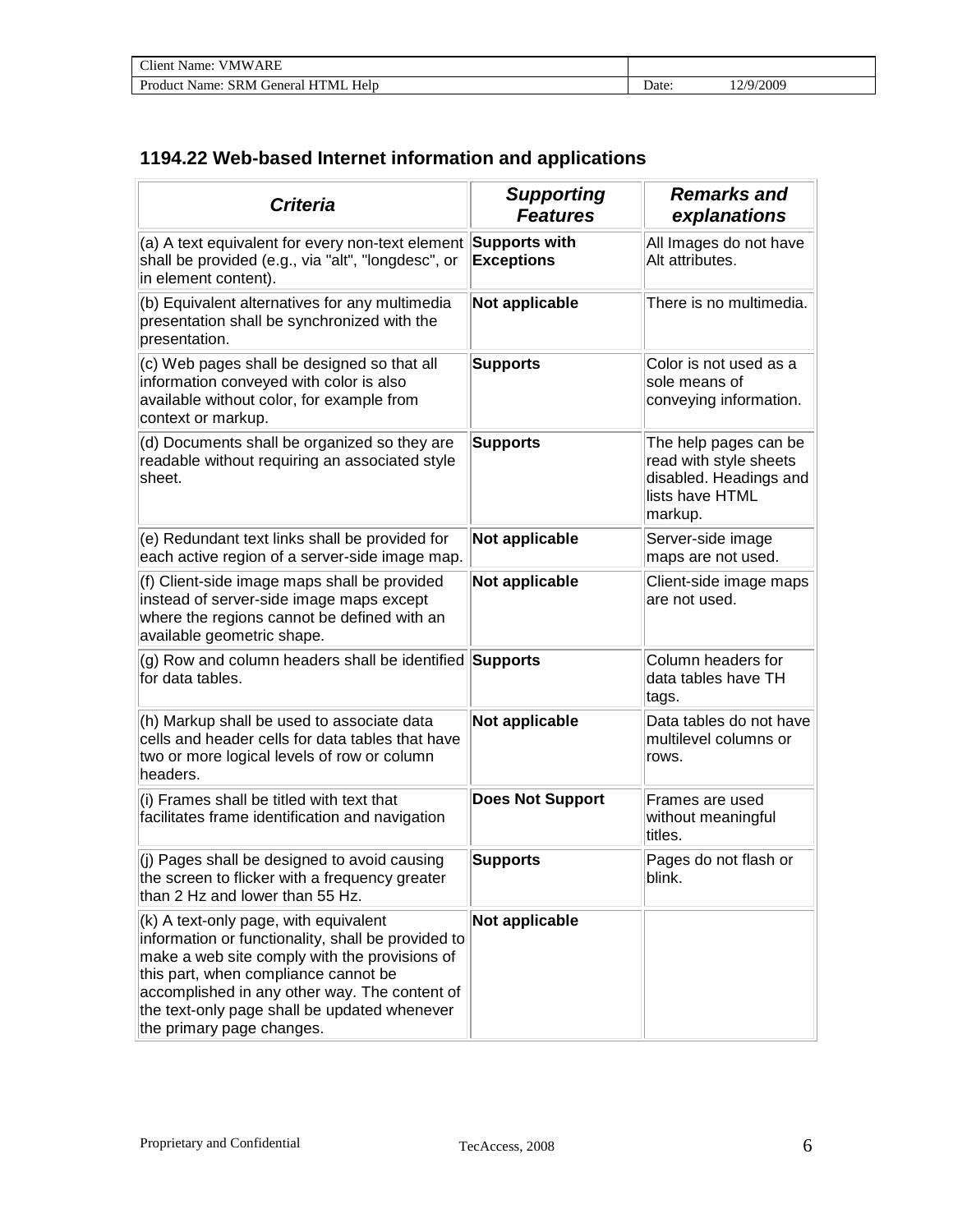| <b>Client Name: VMWARE</b>          |       |           |  |
|-------------------------------------|-------|-----------|--|
| Product Name: SRM General HTML Help | Date: | 12/9/2009 |  |

## **1194.22 Web-based Internet information and applications**

| <b>Criteria</b>                                                                                                                                                                                                                                                                                                    | <b>Supporting</b><br><b>Features</b> | <b>Remarks and</b><br>explanations                                                                      |
|--------------------------------------------------------------------------------------------------------------------------------------------------------------------------------------------------------------------------------------------------------------------------------------------------------------------|--------------------------------------|---------------------------------------------------------------------------------------------------------|
| (a) A text equivalent for every non-text element<br>shall be provided (e.g., via "alt", "longdesc", or<br>in element content).                                                                                                                                                                                     | Supports with<br><b>Exceptions</b>   | All Images do not have<br>Alt attributes.                                                               |
| (b) Equivalent alternatives for any multimedia<br>presentation shall be synchronized with the<br>presentation.                                                                                                                                                                                                     | Not applicable                       | There is no multimedia.                                                                                 |
| (c) Web pages shall be designed so that all<br>information conveyed with color is also<br>available without color, for example from<br>context or markup.                                                                                                                                                          | <b>Supports</b>                      | Color is not used as a<br>sole means of<br>conveying information.                                       |
| (d) Documents shall be organized so they are<br>readable without requiring an associated style<br>sheet.                                                                                                                                                                                                           | <b>Supports</b>                      | The help pages can be<br>read with style sheets<br>disabled. Headings and<br>lists have HTML<br>markup. |
| (e) Redundant text links shall be provided for<br>each active region of a server-side image map.                                                                                                                                                                                                                   | Not applicable                       | Server-side image<br>maps are not used.                                                                 |
| (f) Client-side image maps shall be provided<br>instead of server-side image maps except<br>where the regions cannot be defined with an<br>available geometric shape.                                                                                                                                              | Not applicable                       | Client-side image maps<br>are not used.                                                                 |
| (g) Row and column headers shall be identified Supports<br>for data tables.                                                                                                                                                                                                                                        |                                      | Column headers for<br>data tables have TH<br>tags.                                                      |
| (h) Markup shall be used to associate data<br>cells and header cells for data tables that have<br>two or more logical levels of row or column<br>headers.                                                                                                                                                          | Not applicable                       | Data tables do not have<br>multilevel columns or<br>rows.                                               |
| (i) Frames shall be titled with text that<br>facilitates frame identification and navigation                                                                                                                                                                                                                       | <b>Does Not Support</b>              | Frames are used<br>without meaningful<br>titles.                                                        |
| (j) Pages shall be designed to avoid causing<br>the screen to flicker with a frequency greater<br>than 2 Hz and lower than 55 Hz.                                                                                                                                                                                  | <b>Supports</b>                      | Pages do not flash or<br>blink.                                                                         |
| (k) A text-only page, with equivalent<br>information or functionality, shall be provided to<br>make a web site comply with the provisions of<br>this part, when compliance cannot be<br>accomplished in any other way. The content of<br>the text-only page shall be updated whenever<br>the primary page changes. | Not applicable                       |                                                                                                         |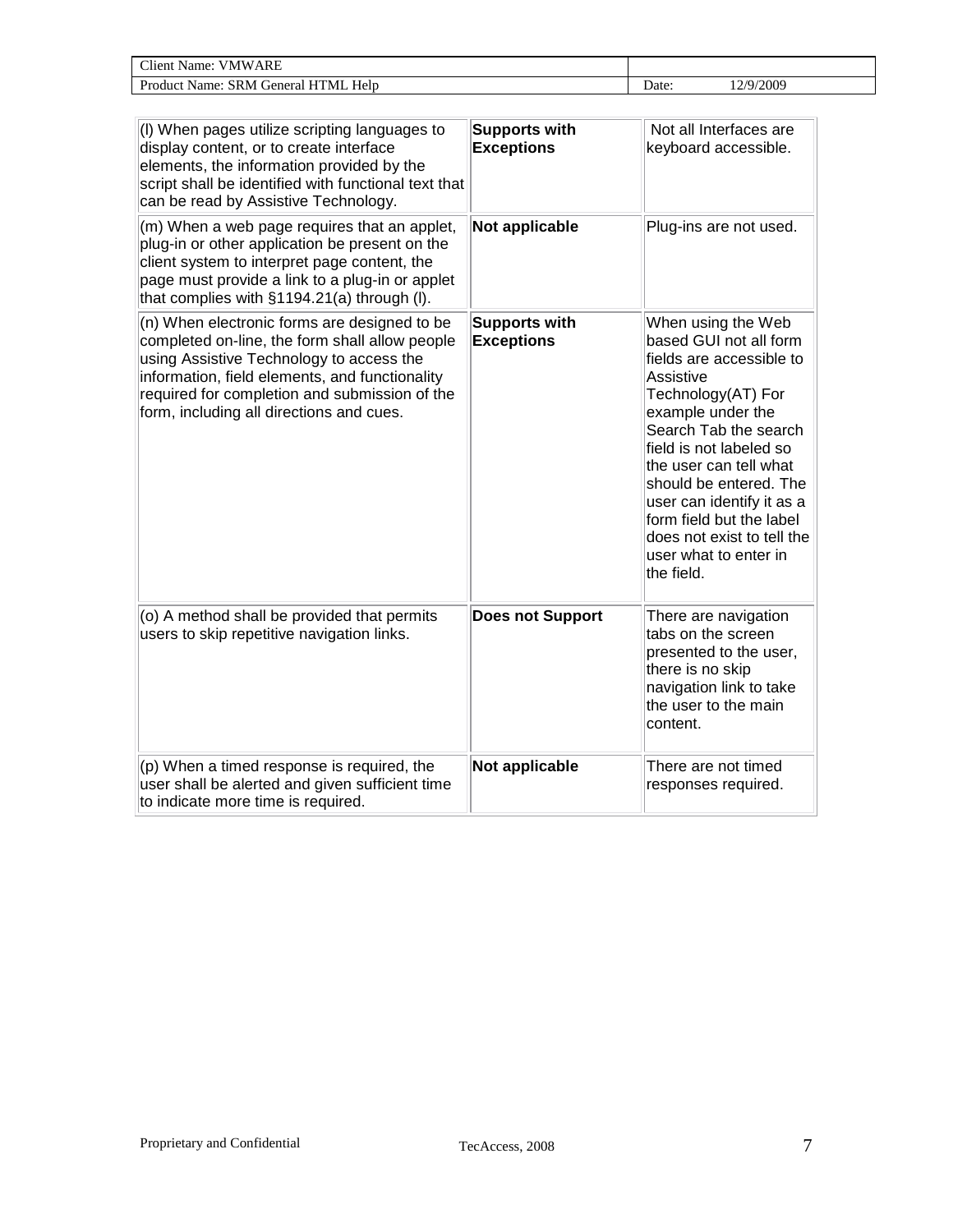| <b>~**</b><br>RE<br>'NIW<br>vame<br>'lıen<br>וו<br>the contract of the contract of the contract of |       |                                                      |
|----------------------------------------------------------------------------------------------------|-------|------------------------------------------------------|
| $\sqrt{ }$<br>TМ<br>Helt<br>Pr.<br>$\cdot$ reners.<br>ame:<br>'N                                   | -bate | /2009<br>'/Q.<br>and the contract of the contract of |

| (I) When pages utilize scripting languages to<br>display content, or to create interface<br>elements, the information provided by the<br>script shall be identified with functional text that<br>can be read by Assistive Technology.                                                     | <b>Supports with</b><br><b>Exceptions</b> | Not all Interfaces are<br>keyboard accessible.                                                                                                                                                                                                                                                                                                                         |
|-------------------------------------------------------------------------------------------------------------------------------------------------------------------------------------------------------------------------------------------------------------------------------------------|-------------------------------------------|------------------------------------------------------------------------------------------------------------------------------------------------------------------------------------------------------------------------------------------------------------------------------------------------------------------------------------------------------------------------|
| (m) When a web page requires that an applet,<br>plug-in or other application be present on the<br>client system to interpret page content, the<br>page must provide a link to a plug-in or applet<br>that complies with §1194.21(a) through (I).                                          | Not applicable                            | Plug-ins are not used.                                                                                                                                                                                                                                                                                                                                                 |
| (n) When electronic forms are designed to be<br>completed on-line, the form shall allow people<br>using Assistive Technology to access the<br>information, field elements, and functionality<br>required for completion and submission of the<br>form, including all directions and cues. | <b>Supports with</b><br><b>Exceptions</b> | When using the Web<br>based GUI not all form<br>fields are accessible to<br>Assistive<br>Technology(AT) For<br>example under the<br>Search Tab the search<br>field is not labeled so<br>the user can tell what<br>should be entered. The<br>user can identify it as a<br>form field but the label<br>does not exist to tell the<br>user what to enter in<br>the field. |
| (o) A method shall be provided that permits<br>users to skip repetitive navigation links.                                                                                                                                                                                                 | <b>Does not Support</b>                   | There are navigation<br>tabs on the screen<br>presented to the user,<br>there is no skip<br>navigation link to take<br>the user to the main<br>content.                                                                                                                                                                                                                |
| (p) When a timed response is required, the<br>user shall be alerted and given sufficient time<br>to indicate more time is required.                                                                                                                                                       | Not applicable                            | There are not timed<br>responses required.                                                                                                                                                                                                                                                                                                                             |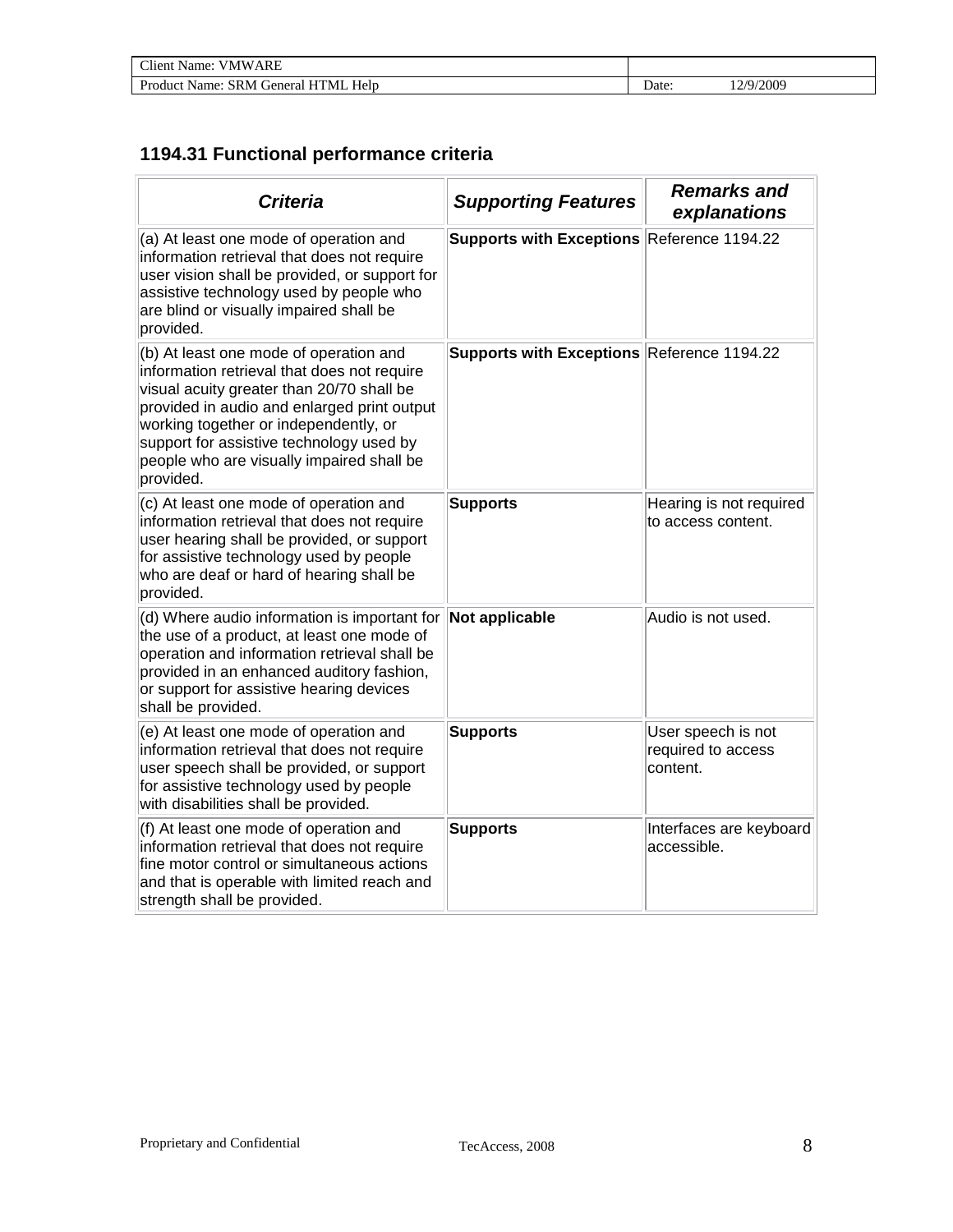| <b>Client Name: VMWARE</b>          |       |           |
|-------------------------------------|-------|-----------|
| Product Name: SRM General HTML Help | Date: | 12/9/2009 |

## **1194.31 Functional performance criteria**

| <b>Criteria</b>                                                                                                                                                                                                                                                                                                                  | <b>Supporting Features</b>                 | <b>Remarks and</b><br>explanations                   |
|----------------------------------------------------------------------------------------------------------------------------------------------------------------------------------------------------------------------------------------------------------------------------------------------------------------------------------|--------------------------------------------|------------------------------------------------------|
| (a) At least one mode of operation and<br>information retrieval that does not require<br>user vision shall be provided, or support for<br>assistive technology used by people who<br>are blind or visually impaired shall be<br>provided.                                                                                        | Supports with Exceptions Reference 1194.22 |                                                      |
| (b) At least one mode of operation and<br>information retrieval that does not require<br>visual acuity greater than 20/70 shall be<br>provided in audio and enlarged print output<br>working together or independently, or<br>support for assistive technology used by<br>people who are visually impaired shall be<br>provided. | Supports with Exceptions Reference 1194.22 |                                                      |
| (c) At least one mode of operation and<br>information retrieval that does not require<br>user hearing shall be provided, or support<br>for assistive technology used by people<br>who are deaf or hard of hearing shall be<br>provided.                                                                                          | <b>Supports</b>                            | Hearing is not required<br>to access content.        |
| (d) Where audio information is important for<br>the use of a product, at least one mode of<br>operation and information retrieval shall be<br>provided in an enhanced auditory fashion,<br>or support for assistive hearing devices<br>shall be provided.                                                                        | Not applicable                             | Audio is not used.                                   |
| (e) At least one mode of operation and<br>information retrieval that does not require<br>user speech shall be provided, or support<br>for assistive technology used by people<br>with disabilities shall be provided.                                                                                                            | <b>Supports</b>                            | User speech is not<br>required to access<br>content. |
| (f) At least one mode of operation and<br>information retrieval that does not require<br>fine motor control or simultaneous actions<br>and that is operable with limited reach and<br>strength shall be provided.                                                                                                                | <b>Supports</b>                            | Interfaces are keyboard<br>accessible.               |